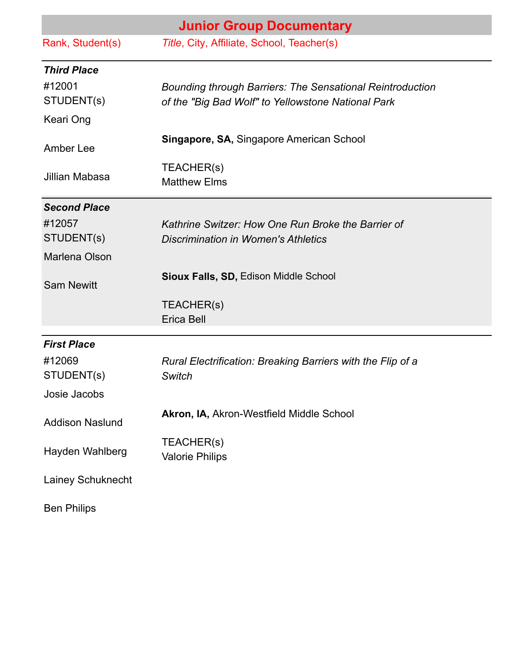| <b>Junior Group Documentary</b> |                                                                                                  |
|---------------------------------|--------------------------------------------------------------------------------------------------|
| Rank, Student(s)                | Title, City, Affiliate, School, Teacher(s)                                                       |
| <b>Third Place</b><br>#12001    | <b>Bounding through Barriers: The Sensational Reintroduction</b>                                 |
| STUDENT(s)                      | of the "Big Bad Wolf" to Yellowstone National Park                                               |
| Keari Ong                       |                                                                                                  |
| Amber Lee                       | <b>Singapore, SA, Singapore American School</b>                                                  |
| Jillian Mabasa                  | TEACHER(s)<br><b>Matthew Elms</b>                                                                |
| <b>Second Place</b>             |                                                                                                  |
| #12057<br>STUDENT(s)            | Kathrine Switzer: How One Run Broke the Barrier of<br><b>Discrimination in Women's Athletics</b> |
| Marlena Olson                   |                                                                                                  |
| <b>Sam Newitt</b>               | <b>Sioux Falls, SD, Edison Middle School</b>                                                     |
|                                 | TEACHER(s)<br>Erica Bell                                                                         |
| <b>First Place</b>              |                                                                                                  |
| #12069<br>STUDENT(s)            | Rural Electrification: Breaking Barriers with the Flip of a<br><b>Switch</b>                     |
| Josie Jacobs                    |                                                                                                  |
| <b>Addison Naslund</b>          | Akron, IA, Akron-Westfield Middle School                                                         |
| Hayden Wahlberg                 | TEACHER(s)<br><b>Valorie Philips</b>                                                             |
| Lainey Schuknecht               |                                                                                                  |
| <b>Ben Philips</b>              |                                                                                                  |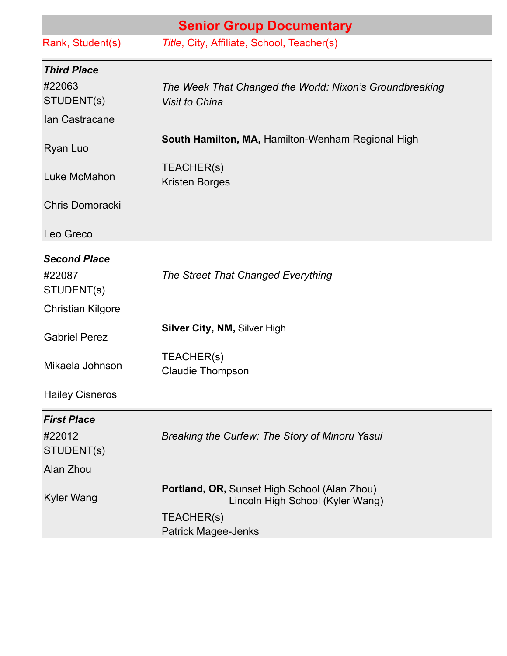| <b>Senior Group Documentary</b> |                                                                                  |
|---------------------------------|----------------------------------------------------------------------------------|
| Rank, Student(s)                | Title, City, Affiliate, School, Teacher(s)                                       |
| <b>Third Place</b>              |                                                                                  |
| #22063<br>STUDENT(s)            | The Week That Changed the World: Nixon's Groundbreaking<br><b>Visit to China</b> |
| Ian Castracane                  |                                                                                  |
| Ryan Luo                        | South Hamilton, MA, Hamilton-Wenham Regional High                                |
| Luke McMahon                    | TEACHER(s)<br><b>Kristen Borges</b>                                              |
| <b>Chris Domoracki</b>          |                                                                                  |
| Leo Greco                       |                                                                                  |
| <b>Second Place</b>             |                                                                                  |
| #22087<br>STUDENT(s)            | The Street That Changed Everything                                               |
| <b>Christian Kilgore</b>        |                                                                                  |
| <b>Gabriel Perez</b>            | <b>Silver City, NM, Silver High</b>                                              |
| Mikaela Johnson                 | TEACHER(s)<br><b>Claudie Thompson</b>                                            |
| <b>Hailey Cisneros</b>          |                                                                                  |
| <b>First Place</b>              |                                                                                  |
| #22012<br>STUDENT(s)            | Breaking the Curfew: The Story of Minoru Yasui                                   |
| Alan Zhou                       |                                                                                  |
| <b>Kyler Wang</b>               | Portland, OR, Sunset High School (Alan Zhou)<br>Lincoln High School (Kyler Wang) |
|                                 | TEACHER(s)<br><b>Patrick Magee-Jenks</b>                                         |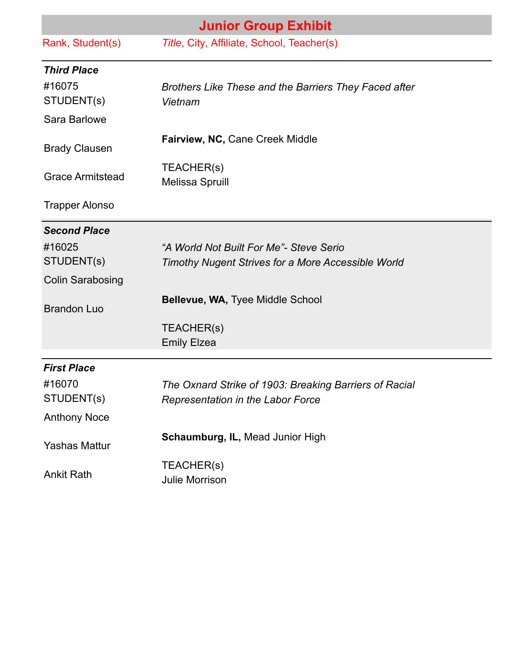| <b>Junior Group Exhibit</b> |                                                        |
|-----------------------------|--------------------------------------------------------|
| Rank, Student(s)            | Title, City, Affiliate, School, Teacher(s)             |
| <b>Third Place</b>          |                                                        |
| #16075                      | Brothers Like These and the Barriers They Faced after  |
| STUDENT(S)                  | Vietnam                                                |
| Sara Barlowe                |                                                        |
| <b>Brady Clausen</b>        | Fairview, NC, Cane Creek Middle                        |
| <b>Grace Armitstead</b>     | TEACHER(s)<br>Melissa Spruill                          |
| <b>Trapper Alonso</b>       |                                                        |
| <b>Second Place</b>         |                                                        |
| #16025                      | "A World Not Built For Me"- Steve Serio                |
| STUDENT(s)                  | Timothy Nugent Strives for a More Accessible World     |
| <b>Colin Sarabosing</b>     |                                                        |
| <b>Brandon Luo</b>          | Bellevue, WA, Tyee Middle School                       |
|                             | TEACHER(s)                                             |
|                             | <b>Emily Elzea</b>                                     |
| <b>First Place</b>          |                                                        |
| #16070                      | The Oxnard Strike of 1903: Breaking Barriers of Racial |
| STUDENT(s)                  | <b>Representation in the Labor Force</b>               |
| <b>Anthony Noce</b>         |                                                        |
| <b>Yashas Mattur</b>        | Schaumburg, IL, Mead Junior High                       |
| <b>Ankit Rath</b>           | TEACHER(s)<br><b>Julie Morrison</b>                    |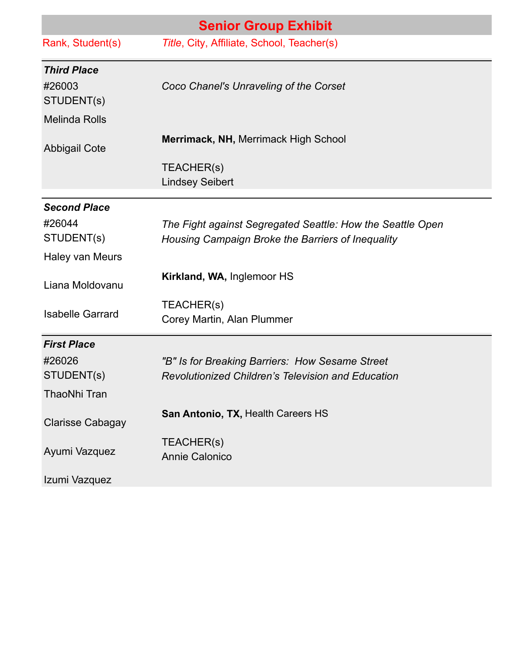|                                            | <b>Senior Group Exhibit</b>                                                                                     |
|--------------------------------------------|-----------------------------------------------------------------------------------------------------------------|
| Rank, Student(s)                           | Title, City, Affiliate, School, Teacher(s)                                                                      |
| <b>Third Place</b><br>#26003<br>STUDENT(s) | Coco Chanel's Unraveling of the Corset                                                                          |
| <b>Melinda Rolls</b>                       |                                                                                                                 |
| <b>Abbigail Cote</b>                       | Merrimack, NH, Merrimack High School                                                                            |
|                                            | TEACHER(s)<br><b>Lindsey Seibert</b>                                                                            |
| <b>Second Place</b>                        |                                                                                                                 |
| #26044<br>STUDENT(s)                       | The Fight against Segregated Seattle: How the Seattle Open<br>Housing Campaign Broke the Barriers of Inequality |
| Haley van Meurs                            |                                                                                                                 |
| Liana Moldovanu                            | Kirkland, WA, Inglemoor HS                                                                                      |
| <b>Isabelle Garrard</b>                    | TEACHER(s)<br>Corey Martin, Alan Plummer                                                                        |
| <b>First Place</b>                         |                                                                                                                 |
| #26026                                     | "B" Is for Breaking Barriers: How Sesame Street                                                                 |
| STUDENT(s)                                 | <b>Revolutionized Children's Television and Education</b>                                                       |
| <b>ThaoNhi Tran</b>                        |                                                                                                                 |
| <b>Clarisse Cabagay</b>                    | San Antonio, TX, Health Careers HS                                                                              |
| Ayumi Vazquez                              | TEACHER(s)<br>Annie Calonico                                                                                    |
| Izumi Vazquez                              |                                                                                                                 |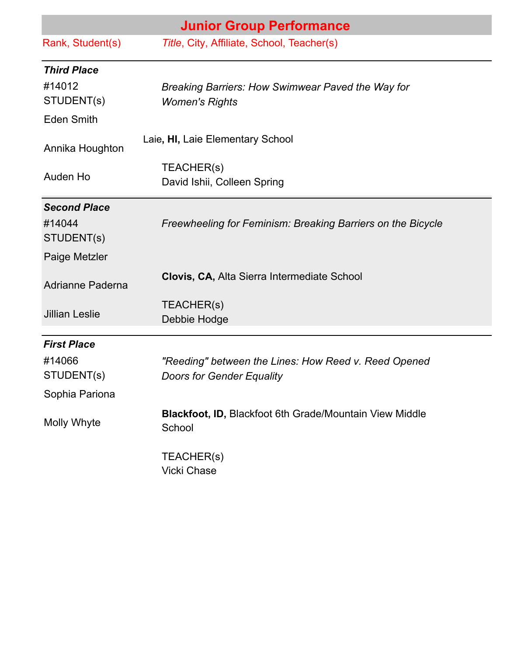|                       | <b>Junior Group Performance</b>                                   |
|-----------------------|-------------------------------------------------------------------|
| Rank, Student(s)      | Title, City, Affiliate, School, Teacher(s)                        |
| <b>Third Place</b>    |                                                                   |
| #14012                | Breaking Barriers: How Swimwear Paved the Way for                 |
| STUDENT(s)            | <b>Women's Rights</b>                                             |
| <b>Eden Smith</b>     |                                                                   |
| Annika Houghton       | Laie, HI, Laie Elementary School                                  |
|                       | TEACHER(s)                                                        |
| Auden Ho              | David Ishii, Colleen Spring                                       |
| <b>Second Place</b>   |                                                                   |
| #14044<br>STUDENT(s)  | Freewheeling for Feminism: Breaking Barriers on the Bicycle       |
| Paige Metzler         |                                                                   |
| Adrianne Paderna      | Clovis, CA, Alta Sierra Intermediate School                       |
| <b>Jillian Leslie</b> | TEACHER(s)                                                        |
|                       | Debbie Hodge                                                      |
| <b>First Place</b>    |                                                                   |
| #14066                | "Reeding" between the Lines: How Reed v. Reed Opened              |
| STUDENT(s)            | <b>Doors for Gender Equality</b>                                  |
| Sophia Pariona        |                                                                   |
| Molly Whyte           | Blackfoot, ID, Blackfoot 6th Grade/Mountain View Middle<br>School |
|                       | TEACHER(s)<br><b>Vicki Chase</b>                                  |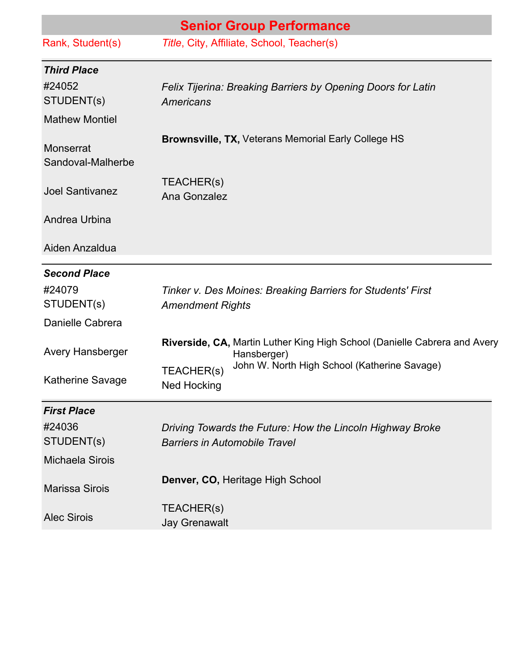| <b>Senior Group Performance</b>       |                                                                                                   |
|---------------------------------------|---------------------------------------------------------------------------------------------------|
| Rank, Student(s)                      | Title, City, Affiliate, School, Teacher(s)                                                        |
| <b>Third Place</b>                    |                                                                                                   |
| #24052<br>STUDENT(s)                  | Felix Tijerina: Breaking Barriers by Opening Doors for Latin<br>Americans                         |
| <b>Mathew Montiel</b>                 |                                                                                                   |
| <b>Monserrat</b><br>Sandoval-Malherbe | <b>Brownsville, TX, Veterans Memorial Early College HS</b>                                        |
| <b>Joel Santivanez</b>                | TEACHER(s)<br>Ana Gonzalez                                                                        |
| Andrea Urbina                         |                                                                                                   |
| Aiden Anzaldua                        |                                                                                                   |
| <b>Second Place</b>                   |                                                                                                   |
| #24079<br>STUDENT(s)                  | Tinker v. Des Moines: Breaking Barriers for Students' First<br><b>Amendment Rights</b>            |
| Danielle Cabrera                      |                                                                                                   |
| <b>Avery Hansberger</b>               | Riverside, CA, Martin Luther King High School (Danielle Cabrera and Avery<br>Hansberger)          |
| <b>Katherine Savage</b>               | John W. North High School (Katherine Savage)<br>TEACHER(s)<br><b>Ned Hocking</b>                  |
| <b>First Place</b>                    |                                                                                                   |
| #24036<br>STUDENT(s)                  | Driving Towards the Future: How the Lincoln Highway Broke<br><b>Barriers in Automobile Travel</b> |
| <b>Michaela Sirois</b>                |                                                                                                   |
| <b>Marissa Sirois</b>                 | Denver, CO, Heritage High School                                                                  |
| <b>Alec Sirois</b>                    | TEACHER(s)<br><b>Jay Grenawalt</b>                                                                |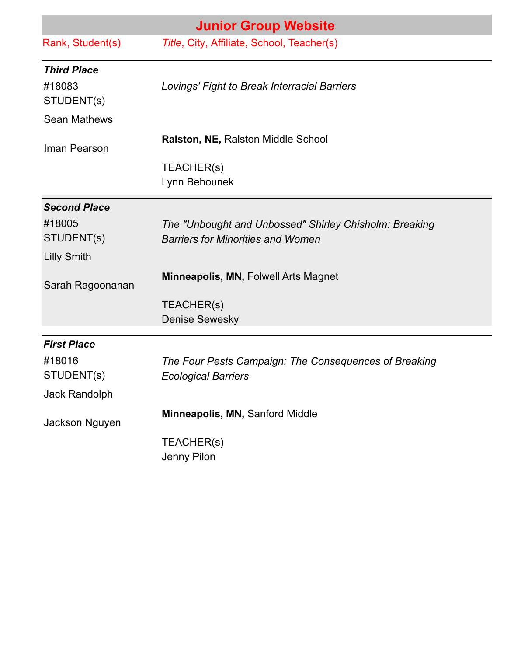|                                            | <b>Junior Group Website</b>                                                                        |  |  |
|--------------------------------------------|----------------------------------------------------------------------------------------------------|--|--|
| Rank, Student(s)                           | Title, City, Affiliate, School, Teacher(s)                                                         |  |  |
| <b>Third Place</b><br>#18083<br>STUDENT(s) | Lovings' Fight to Break Interracial Barriers                                                       |  |  |
| <b>Sean Mathews</b>                        |                                                                                                    |  |  |
| Iman Pearson                               | <b>Ralston, NE, Ralston Middle School</b>                                                          |  |  |
|                                            | TEACHER(s)<br>Lynn Behounek                                                                        |  |  |
| <b>Second Place</b>                        |                                                                                                    |  |  |
| #18005<br>STUDENT(s)                       | The "Unbought and Unbossed" Shirley Chisholm: Breaking<br><b>Barriers for Minorities and Women</b> |  |  |
| <b>Lilly Smith</b>                         |                                                                                                    |  |  |
| Sarah Ragoonanan                           | <b>Minneapolis, MN, Folwell Arts Magnet</b>                                                        |  |  |
|                                            | TEACHER(s)                                                                                         |  |  |
|                                            | <b>Denise Sewesky</b>                                                                              |  |  |
| <b>First Place</b>                         |                                                                                                    |  |  |
| #18016<br>STUDENT(s)                       | The Four Pests Campaign: The Consequences of Breaking                                              |  |  |
| <b>Jack Randolph</b>                       | <b>Ecological Barriers</b>                                                                         |  |  |
| Jackson Nguyen                             | Minneapolis, MN, Sanford Middle                                                                    |  |  |
|                                            | TEACHER(s)<br>Jenny Pilon                                                                          |  |  |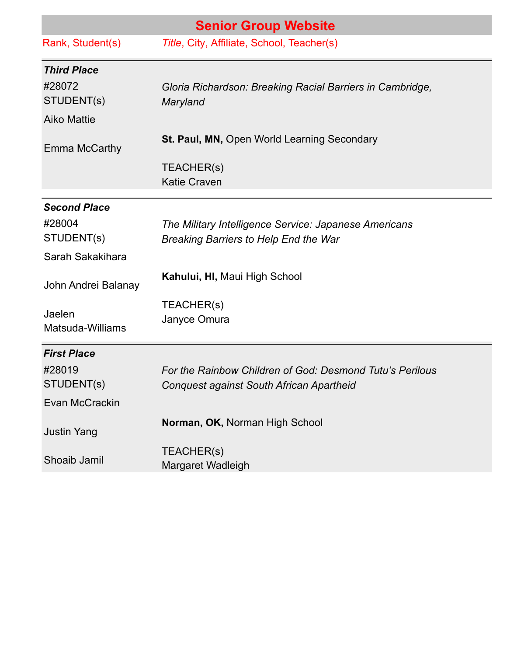| <b>Senior Group Website</b> |                                                                                                       |
|-----------------------------|-------------------------------------------------------------------------------------------------------|
| Rank, Student(s)            | Title, City, Affiliate, School, Teacher(s)                                                            |
| <b>Third Place</b>          |                                                                                                       |
| #28072<br>STUDENT(s)        | Gloria Richardson: Breaking Racial Barriers in Cambridge,<br>Maryland                                 |
| <b>Aiko Mattie</b>          |                                                                                                       |
| Emma McCarthy               | St. Paul, MN, Open World Learning Secondary                                                           |
|                             | TEACHER(s)<br><b>Katie Craven</b>                                                                     |
| <b>Second Place</b>         |                                                                                                       |
| #28004<br>STUDENT(s)        | The Military Intelligence Service: Japanese Americans<br><b>Breaking Barriers to Help End the War</b> |
| Sarah Sakakihara            |                                                                                                       |
| John Andrei Balanay         | Kahului, HI, Maui High School                                                                         |
| Jaelen<br>Matsuda-Williams  | TEACHER(s)<br>Janyce Omura                                                                            |
| <b>First Place</b>          |                                                                                                       |
| #28019<br>STUDENT(s)        | For the Rainbow Children of God: Desmond Tutu's Perilous<br>Conquest against South African Apartheid  |
| Evan McCrackin              |                                                                                                       |
| <b>Justin Yang</b>          | Norman, OK, Norman High School                                                                        |
| Shoaib Jamil                | TEACHER(s)<br>Margaret Wadleigh                                                                       |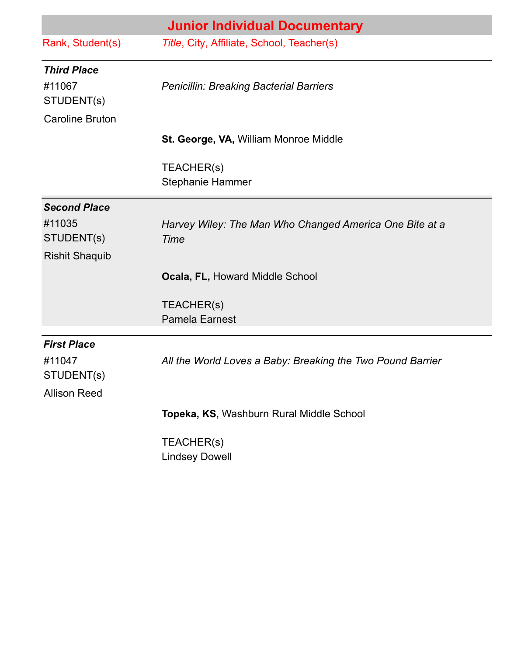|                                            | <b>Junior Individual Documentary</b>                            |
|--------------------------------------------|-----------------------------------------------------------------|
| Rank, Student(s)                           | Title, City, Affiliate, School, Teacher(s)                      |
| <b>Third Place</b><br>#11067<br>STUDENT(s) | <b>Penicillin: Breaking Bacterial Barriers</b>                  |
| <b>Caroline Bruton</b>                     |                                                                 |
|                                            | St. George, VA, William Monroe Middle                           |
|                                            | TEACHER(s)<br><b>Stephanie Hammer</b>                           |
| <b>Second Place</b>                        |                                                                 |
| #11035<br>STUDENT(s)                       | Harvey Wiley: The Man Who Changed America One Bite at a<br>Time |
| <b>Rishit Shaquib</b>                      |                                                                 |
|                                            | <b>Ocala, FL, Howard Middle School</b>                          |
|                                            | TEACHER(s)                                                      |
|                                            | <b>Pamela Earnest</b>                                           |
| <b>First Place</b>                         |                                                                 |
| #11047<br>STUDENT(s)                       | All the World Loves a Baby: Breaking the Two Pound Barrier      |
| <b>Allison Reed</b>                        |                                                                 |
|                                            | Topeka, KS, Washburn Rural Middle School                        |
|                                            | TEACHER(s)                                                      |
|                                            | <b>Lindsey Dowell</b>                                           |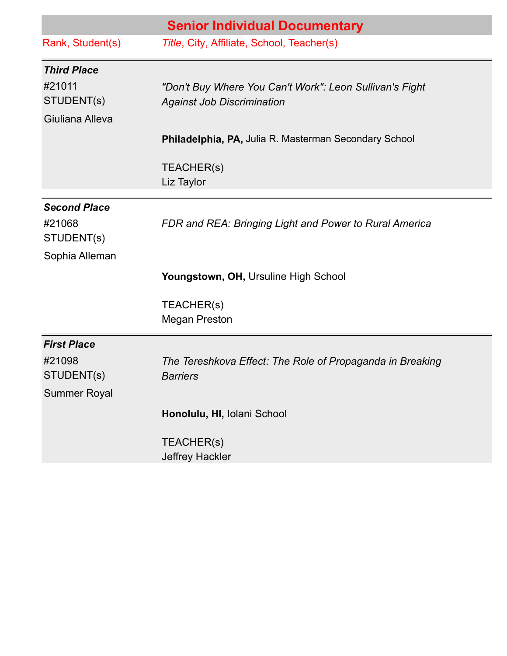|                     | <b>Senior Individual Documentary</b>                      |
|---------------------|-----------------------------------------------------------|
| Rank, Student(s)    | Title, City, Affiliate, School, Teacher(s)                |
| <b>Third Place</b>  |                                                           |
| #21011              | "Don't Buy Where You Can't Work": Leon Sullivan's Fight   |
| STUDENT(s)          | <b>Against Job Discrimination</b>                         |
| Giuliana Alleva     |                                                           |
|                     | Philadelphia, PA, Julia R. Masterman Secondary School     |
|                     | TEACHER(s)<br>Liz Taylor                                  |
| <b>Second Place</b> |                                                           |
| #21068              | FDR and REA: Bringing Light and Power to Rural America    |
| STUDENT(s)          |                                                           |
| Sophia Alleman      |                                                           |
|                     | Youngstown, OH, Ursuline High School                      |
|                     | TEACHER(s)                                                |
|                     | <b>Megan Preston</b>                                      |
| <b>First Place</b>  |                                                           |
| #21098              | The Tereshkova Effect: The Role of Propaganda in Breaking |
| STUDENT(s)          | <b>Barriers</b>                                           |
| <b>Summer Royal</b> |                                                           |
|                     | Honolulu, HI, Iolani School                               |
|                     | TEACHER(s)                                                |
|                     | Jeffrey Hackler                                           |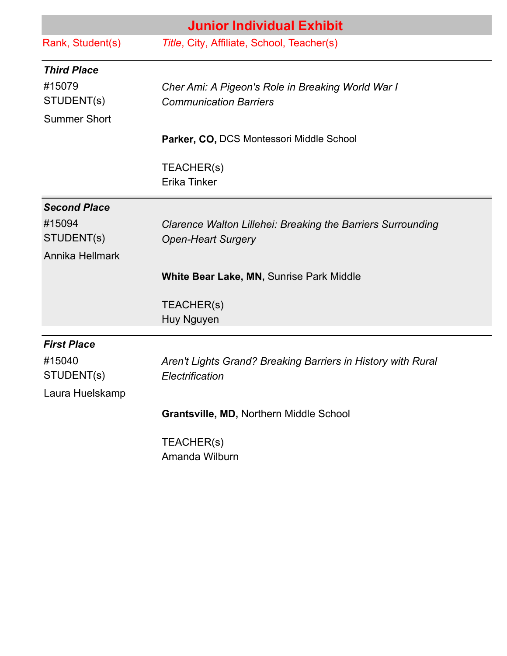| <b>Junior Individual Exhibit</b> |                                                              |
|----------------------------------|--------------------------------------------------------------|
| Rank, Student(s)                 | Title, City, Affiliate, School, Teacher(s)                   |
| <b>Third Place</b>               |                                                              |
| #15079                           | Cher Ami: A Pigeon's Role in Breaking World War I            |
| STUDENT(s)                       | <b>Communication Barriers</b>                                |
| <b>Summer Short</b>              |                                                              |
|                                  | Parker, CO, DCS Montessori Middle School                     |
|                                  | TEACHER(s)                                                   |
|                                  | Erika Tinker                                                 |
| <b>Second Place</b>              |                                                              |
| #15094                           | Clarence Walton Lillehei: Breaking the Barriers Surrounding  |
| STUDENT(s)                       | <b>Open-Heart Surgery</b>                                    |
| Annika Hellmark                  |                                                              |
|                                  | <b>White Bear Lake, MN, Sunrise Park Middle</b>              |
|                                  | TEACHER(s)                                                   |
|                                  | Huy Nguyen                                                   |
| <b>First Place</b>               |                                                              |
| #15040                           | Aren't Lights Grand? Breaking Barriers in History with Rural |
| STUDENT(s)                       | Electrification                                              |
| Laura Huelskamp                  |                                                              |
|                                  | Grantsville, MD, Northern Middle School                      |
|                                  | TEACHER(s)                                                   |

Amanda Wilburn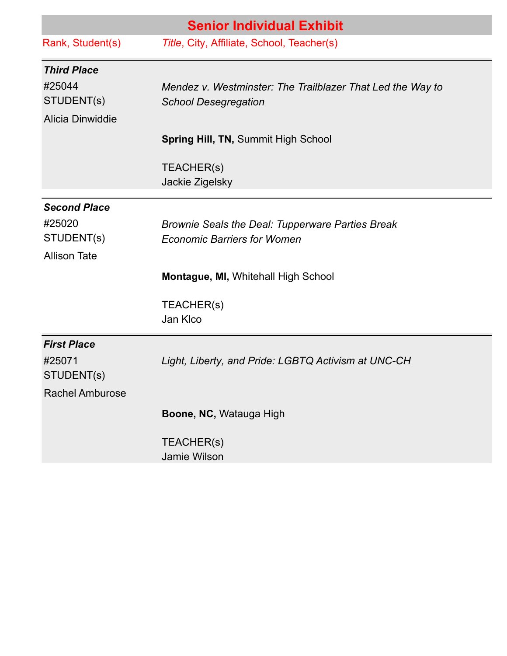|                        | <b>Senior Individual Exhibit</b>                           |
|------------------------|------------------------------------------------------------|
| Rank, Student(s)       | Title, City, Affiliate, School, Teacher(s)                 |
| <b>Third Place</b>     |                                                            |
| #25044                 | Mendez v. Westminster: The Trailblazer That Led the Way to |
| STUDENT(s)             | <b>School Desegregation</b>                                |
| Alicia Dinwiddie       |                                                            |
|                        | <b>Spring Hill, TN, Summit High School</b>                 |
|                        | TEACHER(s)                                                 |
|                        | Jackie Zigelsky                                            |
| <b>Second Place</b>    |                                                            |
| #25020                 | Brownie Seals the Deal: Tupperware Parties Break           |
| STUDENT(s)             | <b>Economic Barriers for Women</b>                         |
| <b>Allison Tate</b>    |                                                            |
|                        | Montague, MI, Whitehall High School                        |
|                        | TEACHER(s)                                                 |
|                        | Jan Klco                                                   |
| <b>First Place</b>     |                                                            |
| #25071                 | Light, Liberty, and Pride: LGBTQ Activism at UNC-CH        |
| STUDENT(s)             |                                                            |
| <b>Rachel Amburose</b> |                                                            |
|                        | Boone, NC, Watauga High                                    |
|                        | TEACHER(s)                                                 |
|                        | Jamie Wilson                                               |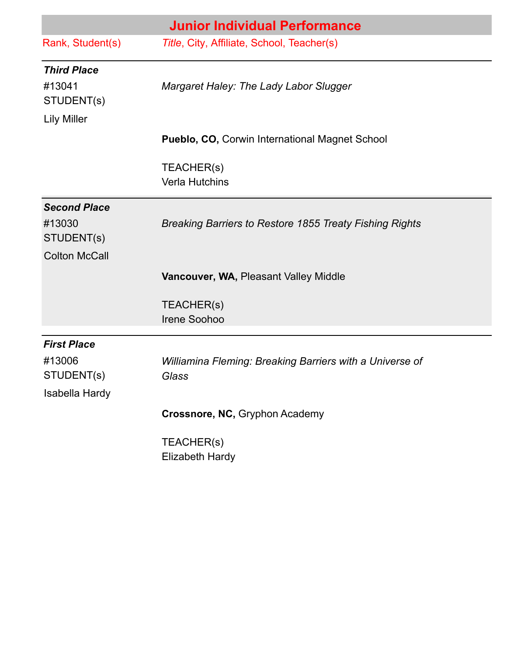| <b>Junior Individual Performance</b> |                                                                |  |
|--------------------------------------|----------------------------------------------------------------|--|
| Rank, Student(s)                     | Title, City, Affiliate, School, Teacher(s)                     |  |
| <b>Third Place</b>                   |                                                                |  |
| #13041<br>STUDENT(s)                 | Margaret Haley: The Lady Labor Slugger                         |  |
| <b>Lily Miller</b>                   |                                                                |  |
|                                      | <b>Pueblo, CO, Corwin International Magnet School</b>          |  |
|                                      | TEACHER(s)<br><b>Verla Hutchins</b>                            |  |
| <b>Second Place</b>                  |                                                                |  |
| #13030<br>STUDENT(s)                 | <b>Breaking Barriers to Restore 1855 Treaty Fishing Rights</b> |  |
| <b>Colton McCall</b>                 |                                                                |  |
|                                      | Vancouver, WA, Pleasant Valley Middle                          |  |
|                                      | TEACHER(s)                                                     |  |
|                                      | Irene Soohoo                                                   |  |
| <b>First Place</b>                   |                                                                |  |
| #13006                               | Williamina Fleming: Breaking Barriers with a Universe of       |  |
| STUDENT(s)                           | Glass                                                          |  |
| Isabella Hardy                       | Crossnore, NC, Gryphon Academy                                 |  |
|                                      |                                                                |  |
|                                      | TEACHER(s)<br>Elizabeth Hardy                                  |  |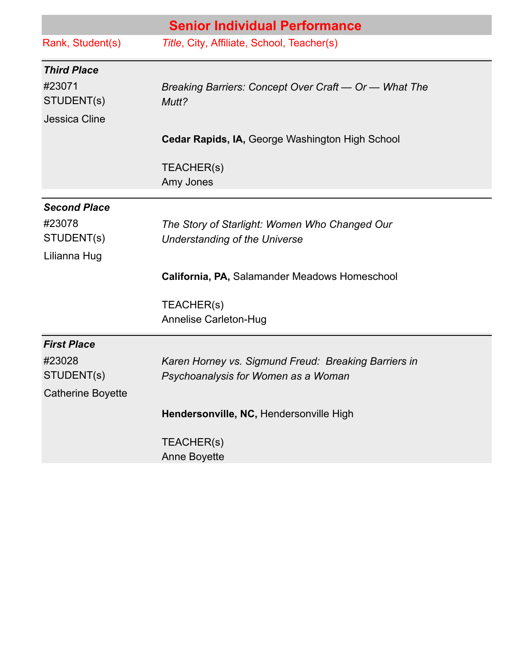|                          | <b>Senior Individual Performance</b>                           |
|--------------------------|----------------------------------------------------------------|
| Rank, Student(s)         | Title, City, Affiliate, School, Teacher(s)                     |
| <b>Third Place</b>       |                                                                |
| #23071<br>STUDENT(s)     | Breaking Barriers: Concept Over Craft - Or - What The<br>Mutt? |
| Jessica Cline            |                                                                |
|                          | Cedar Rapids, IA, George Washington High School                |
|                          | TEACHER(s)<br>Amy Jones                                        |
| <b>Second Place</b>      |                                                                |
| #23078                   | The Story of Starlight: Women Who Changed Our                  |
| STUDENT(s)               | Understanding of the Universe                                  |
| Lilianna Hug             |                                                                |
|                          | California, PA, Salamander Meadows Homeschool                  |
|                          | TEACHER(s)                                                     |
|                          | <b>Annelise Carleton-Hug</b>                                   |
| <b>First Place</b>       |                                                                |
| #23028                   | Karen Horney vs. Sigmund Freud: Breaking Barriers in           |
| STUDENT(s)               | Psychoanalysis for Women as a Woman                            |
| <b>Catherine Boyette</b> |                                                                |
|                          | Hendersonville, NC, Hendersonville High                        |
|                          | TEACHER(s)                                                     |
|                          | Anne Boyette                                                   |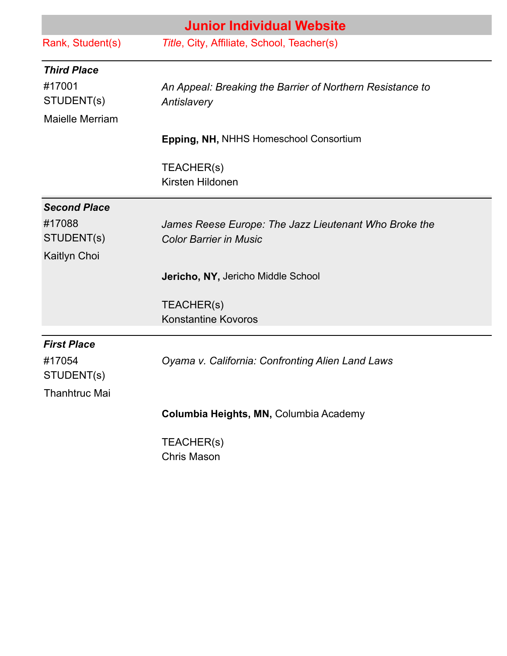|                        | <b>Junior Individual Website</b>                          |
|------------------------|-----------------------------------------------------------|
| Rank, Student(s)       | Title, City, Affiliate, School, Teacher(s)                |
| <b>Third Place</b>     |                                                           |
| #17001                 | An Appeal: Breaking the Barrier of Northern Resistance to |
| STUDENT(s)             | Antislavery                                               |
| <b>Maielle Merriam</b> |                                                           |
|                        | Epping, NH, NHHS Homeschool Consortium                    |
|                        | TEACHER(s)                                                |
|                        | Kirsten Hildonen                                          |
| <b>Second Place</b>    |                                                           |
| #17088                 | James Reese Europe: The Jazz Lieutenant Who Broke the     |
| STUDENT(s)             | <b>Color Barrier in Music</b>                             |
| Kaitlyn Choi           |                                                           |
|                        | <b>Jericho, NY, Jericho Middle School</b>                 |
|                        | TEACHER(S)                                                |
|                        | <b>Konstantine Kovoros</b>                                |
| <b>First Place</b>     |                                                           |
| #17054<br>STUDENT(s)   | Oyama v. California: Confronting Alien Land Laws          |
| <b>Thanhtruc Mai</b>   |                                                           |
|                        | Columbia Heights, MN, Columbia Academy                    |
|                        | TEACHER(s)                                                |

Chris Mason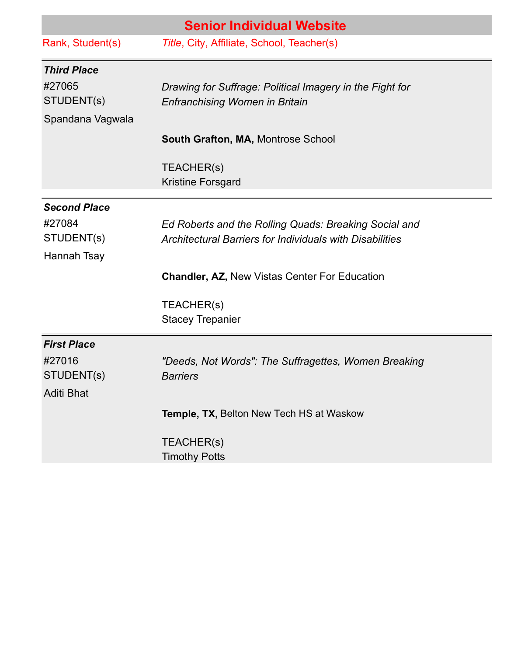|                     | <b>Senior Individual Website</b>                         |
|---------------------|----------------------------------------------------------|
| Rank, Student(s)    | Title, City, Affiliate, School, Teacher(s)               |
| <b>Third Place</b>  |                                                          |
| #27065              | Drawing for Suffrage: Political Imagery in the Fight for |
| STUDENT(s)          | <b>Enfranchising Women in Britain</b>                    |
| Spandana Vagwala    |                                                          |
|                     | <b>South Grafton, MA, Montrose School</b>                |
|                     | TEACHER(s)                                               |
|                     | <b>Kristine Forsgard</b>                                 |
| <b>Second Place</b> |                                                          |
| #27084              | Ed Roberts and the Rolling Quads: Breaking Social and    |
| STUDENT(s)          | Architectural Barriers for Individuals with Disabilities |
| Hannah Tsay         |                                                          |
|                     | <b>Chandler, AZ, New Vistas Center For Education</b>     |
|                     | TEACHER(s)                                               |
|                     | <b>Stacey Trepanier</b>                                  |
| <b>First Place</b>  |                                                          |
| #27016              | "Deeds, Not Words": The Suffragettes, Women Breaking     |
| STUDENT(s)          | <b>Barriers</b>                                          |
| <b>Aditi Bhat</b>   |                                                          |
|                     | <b>Temple, TX, Belton New Tech HS at Waskow</b>          |
|                     | TEACHER(s)                                               |
|                     | <b>Timothy Potts</b>                                     |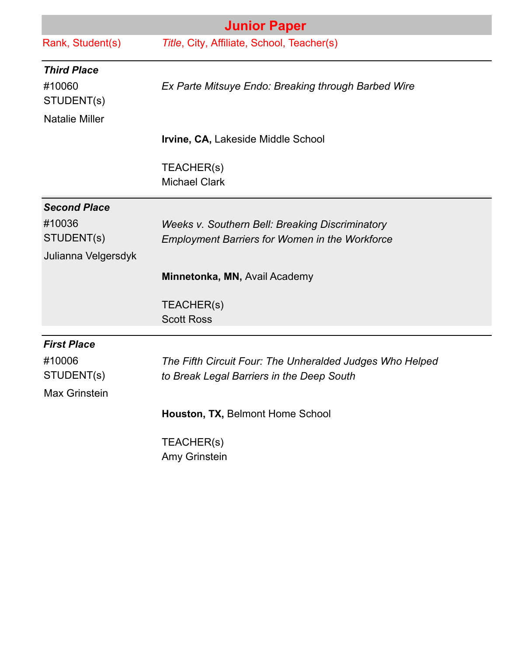|                       | <b>Junior Paper</b>                                      |
|-----------------------|----------------------------------------------------------|
| Rank, Student(s)      | Title, City, Affiliate, School, Teacher(s)               |
| <b>Third Place</b>    |                                                          |
| #10060<br>STUDENT(s)  | Ex Parte Mitsuye Endo: Breaking through Barbed Wire      |
| <b>Natalie Miller</b> |                                                          |
|                       | Irvine, CA, Lakeside Middle School                       |
|                       | TEACHER(s)                                               |
|                       | <b>Michael Clark</b>                                     |
| <b>Second Place</b>   |                                                          |
| #10036                | <b>Weeks v. Southern Bell: Breaking Discriminatory</b>   |
| STUDENT(s)            | <b>Employment Barriers for Women in the Workforce</b>    |
| Julianna Velgersdyk   |                                                          |
|                       | Minnetonka, MN, Avail Academy                            |
|                       | TEACHER(s)                                               |
|                       | <b>Scott Ross</b>                                        |
| <b>First Place</b>    |                                                          |
| #10006                | The Fifth Circuit Four: The Unheralded Judges Who Helped |
| STUDENT(s)            | to Break Legal Barriers in the Deep South                |
| Max Grinstein         |                                                          |
|                       | Houston, TX, Belmont Home School                         |
|                       | TEACHER(s)                                               |
|                       | Amy Grinstein                                            |